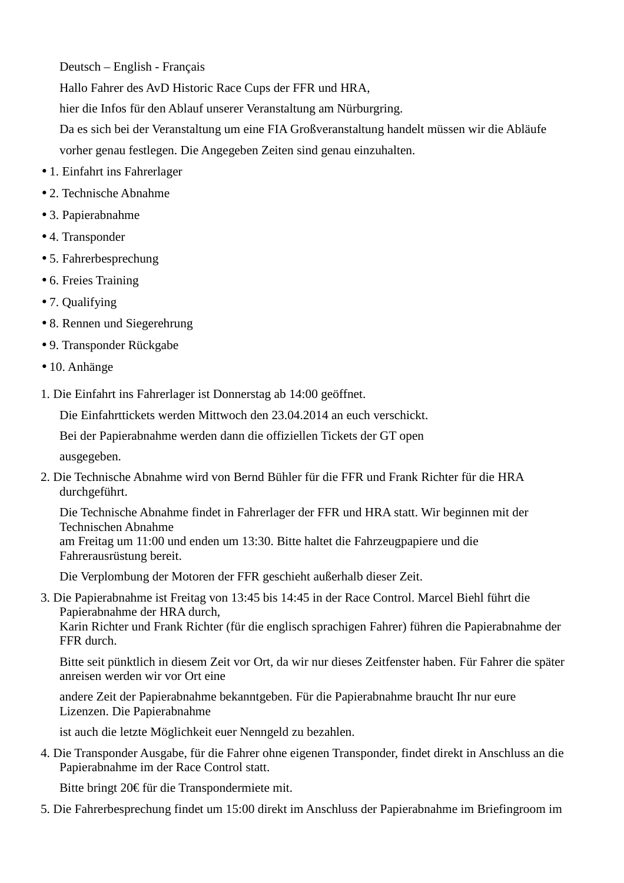Deutsch – English - Français

Hallo Fahrer des AvD Historic Race Cups der FFR und HRA,

hier die Infos für den Ablauf unserer Veranstaltung am Nürburgring.

Da es sich bei der Veranstaltung um eine FIA Großveranstaltung handelt müssen wir die Abläufe vorher genau festlegen. Die Angegeben Zeiten sind genau einzuhalten.

- 1. Einfahrt ins Fahrerlager
- 2. Technische Abnahme
- 3. Papierabnahme
- 4. Transponder
- 5. Fahrerbesprechung
- 6. Freies Training
- 7. Qualifying
- 8. Rennen und Siegerehrung
- 9. Transponder Rückgabe
- 10. Anhänge
- 1. Die Einfahrt ins Fahrerlager ist Donnerstag ab 14:00 geöffnet.

Die Einfahrttickets werden Mittwoch den 23.04.2014 an euch verschickt.

Bei der Papierabnahme werden dann die offiziellen Tickets der GT open

ausgegeben.

2. Die Technische Abnahme wird von Bernd Bühler für die FFR und Frank Richter für die HRA durchgeführt.

Die Technische Abnahme findet in Fahrerlager der FFR und HRA statt. Wir beginnen mit der Technischen Abnahme

am Freitag um 11:00 und enden um 13:30. Bitte haltet die Fahrzeugpapiere und die Fahrerausrüstung bereit.

Die Verplombung der Motoren der FFR geschieht außerhalb dieser Zeit.

3. Die Papierabnahme ist Freitag von 13:45 bis 14:45 in der Race Control. Marcel Biehl führt die Papierabnahme der HRA durch,

Karin Richter und Frank Richter (für die englisch sprachigen Fahrer) führen die Papierabnahme der FFR durch.

Bitte seit pünktlich in diesem Zeit vor Ort, da wir nur dieses Zeitfenster haben. Für Fahrer die später anreisen werden wir vor Ort eine

andere Zeit der Papierabnahme bekanntgeben. Für die Papierabnahme braucht Ihr nur eure Lizenzen. Die Papierabnahme

ist auch die letzte Möglichkeit euer Nenngeld zu bezahlen.

4. Die Transponder Ausgabe, für die Fahrer ohne eigenen Transponder, findet direkt in Anschluss an die Papierabnahme im der Race Control statt.

Bitte bringt 20€ für die Transpondermiete mit.

5. Die Fahrerbesprechung findet um 15:00 direkt im Anschluss der Papierabnahme im Briefingroom im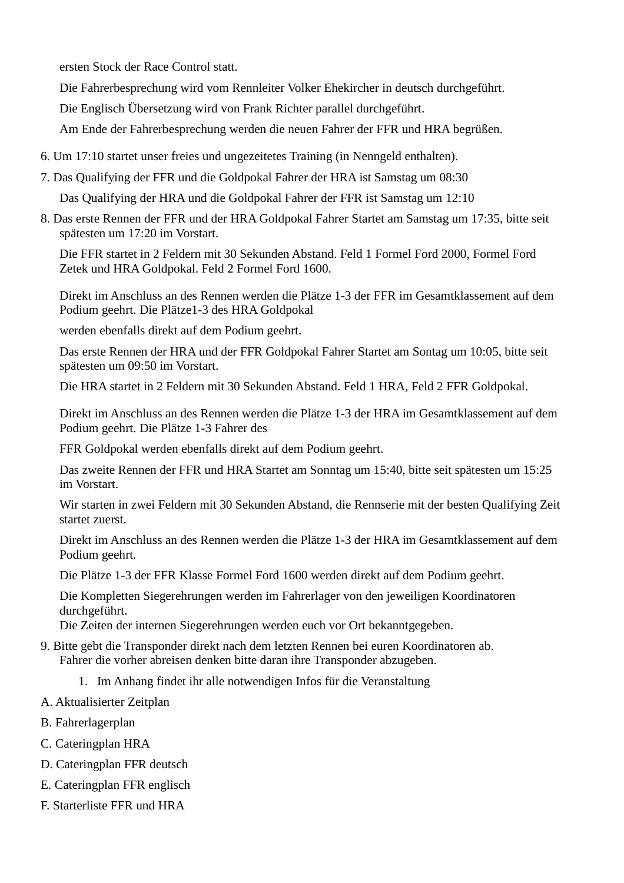ersten Stock der Race Control statt.

Die Fahrerbesprechung wird vom Rennleiter Volker Ehekircher in deutsch durchgeführt.

Die Englisch Übersetzung wird von Frank Richter parallel durchgeführt.

Am Ende der Fahrerbesprechung werden die neuen Fahrer der FFR und HRA begrüßen.

- 6. Um 17:10 startet unser freies und ungezeitetes Training (in Nenngeld enthalten).
- 7. Das Qualifying der FFR und die Goldpokal Fahrer der HRA ist Samstag um 08:30

Das Qualifying der HRA und die Goldpokal Fahrer der FFR ist Samstag um 12:10

8. Das erste Rennen der FFR und der HRA Goldpokal Fahrer Startet am Samstag um 17:35, bitte seit spätesten um 17:20 im Vorstart.

Die FFR startet in 2 Feldern mit 30 Sekunden Abstand. Feld 1 Formel Ford 2000, Formel Ford Zetek und HRA Goldpokal. Feld 2 Formel Ford 1600.

Direkt im Anschluss an des Rennen werden die Plätze 1-3 der FFR im Gesamtklassement auf dem Podium geehrt. Die Plätze1-3 des HRA Goldpokal

werden ebenfalls direkt auf dem Podium geehrt.

Das erste Rennen der HRA und der FFR Goldpokal Fahrer Startet am Sontag um 10:05, bitte seit spätesten um 09:50 im Vorstart.

Die HRA startet in 2 Feldern mit 30 Sekunden Abstand. Feld 1 HRA, Feld 2 FFR Goldpokal.

Direkt im Anschluss an des Rennen werden die Plätze 1-3 der HRA im Gesamtklassement auf dem Podium geehrt. Die Plätze 1-3 Fahrer des

FFR Goldpokal werden ebenfalls direkt auf dem Podium geehrt.

Das zweite Rennen der FFR und HRA Startet am Sonntag um 15:40, bitte seit spätesten um 15:25 im Vorstart.

Wir starten in zwei Feldern mit 30 Sekunden Abstand, die Rennserie mit der besten Qualifying Zeit startet zuerst.

Direkt im Anschluss an des Rennen werden die Plätze 1-3 der HRA im Gesamtklassement auf dem Podium geehrt.

Die Plätze 1-3 der FFR Klasse Formel Ford 1600 werden direkt auf dem Podium geehrt.

Die Kompletten Siegerehrungen werden im Fahrerlager von den jeweiligen Koordinatoren durchgeführt.

Die Zeiten der internen Siegerehrungen werden euch vor Ort bekanntgegeben.

- 9. Bitte gebt die Transponder direkt nach dem letzten Rennen bei euren Koordinatoren ab. Fahrer die vorher abreisen denken bitte daran ihre Transponder abzugeben.
	- 1. Im Anhang findet ihr alle notwendigen Infos für die Veranstaltung
- A. Aktualisierter Zeitplan
- B. Fahrerlagerplan
- C. Cateringplan HRA
- D. Cateringplan FFR deutsch
- E. Cateringplan FFR englisch
- F. Starterliste FFR und HRA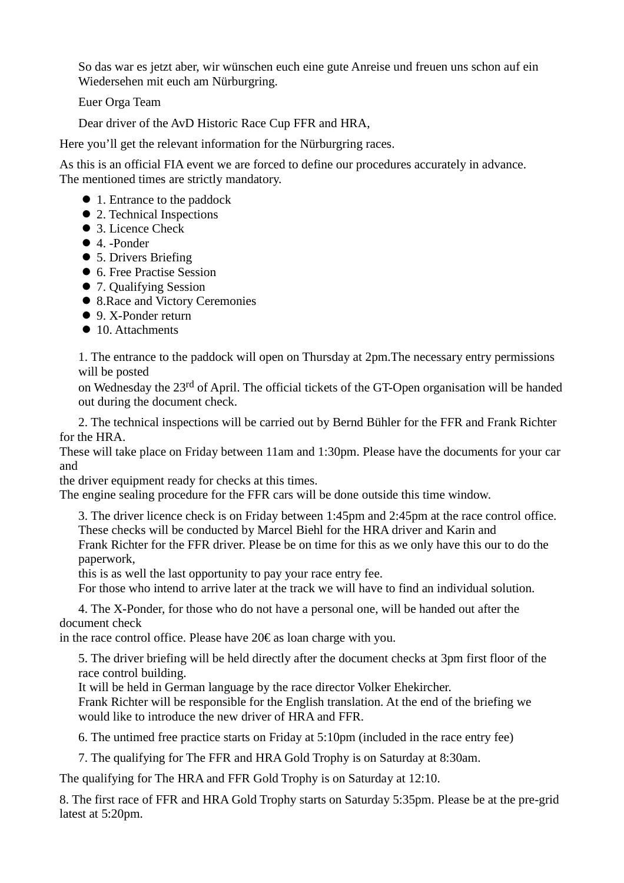So das war es jetzt aber, wir wünschen euch eine gute Anreise und freuen uns schon auf ein Wiedersehen mit euch am Nürburgring.

Euer Orga Team

Dear driver of the AvD Historic Race Cup FFR and HRA,

Here you'll get the relevant information for the Nürburgring races.

As this is an official FIA event we are forced to define our procedures accurately in advance. The mentioned times are strictly mandatory.

- 1. Entrance to the paddock
- 2. Technical Inspections
- 3. Licence Check
- 4. -Ponder
- 5. Drivers Briefing
- 6. Free Practise Session
- 7. Qualifying Session
- 8.Race and Victory Ceremonies
- 9. X-Ponder return
- 10. Attachments

1. The entrance to the paddock will open on Thursday at 2pm.The necessary entry permissions will be posted

on Wednesday the 23rd of April. The official tickets of the GT-Open organisation will be handed out during the document check.

2. The technical inspections will be carried out by Bernd Bühler for the FFR and Frank Richter for the HRA.

These will take place on Friday between 11am and 1:30pm. Please have the documents for your car and

the driver equipment ready for checks at this times.

The engine sealing procedure for the FFR cars will be done outside this time window.

3. The driver licence check is on Friday between 1:45pm and 2:45pm at the race control office. These checks will be conducted by Marcel Biehl for the HRA driver and Karin and Frank Richter for the FFR driver. Please be on time for this as we only have this our to do the paperwork,

this is as well the last opportunity to pay your race entry fee.

For those who intend to arrive later at the track we will have to find an individual solution.

4. The X-Ponder, for those who do not have a personal one, will be handed out after the document check

in the race control office. Please have  $20 \epsilon$  as loancharge with you.

5. The driver briefing will be held directly after the document checks at 3pm first floor of the race control building.

It will be held in German language by the race director Volker Ehekircher.

Frank Richter will be responsible for the English translation. At the end of the briefing we would like to introduce the new driver of HRA and FFR.

6. The untimed free practice starts on Friday at 5:10pm (included in the race entry fee)

7. The qualifying for The FFR and HRA Gold Trophy is on Saturday at 8:30am.

The qualifying for The HRA and FFR Gold Trophy is on Saturday at 12:10.

8. The first race of FFR and HRA Gold Trophy starts on Saturday 5:35pm. Please be at the pre-grid latest at 5:20pm.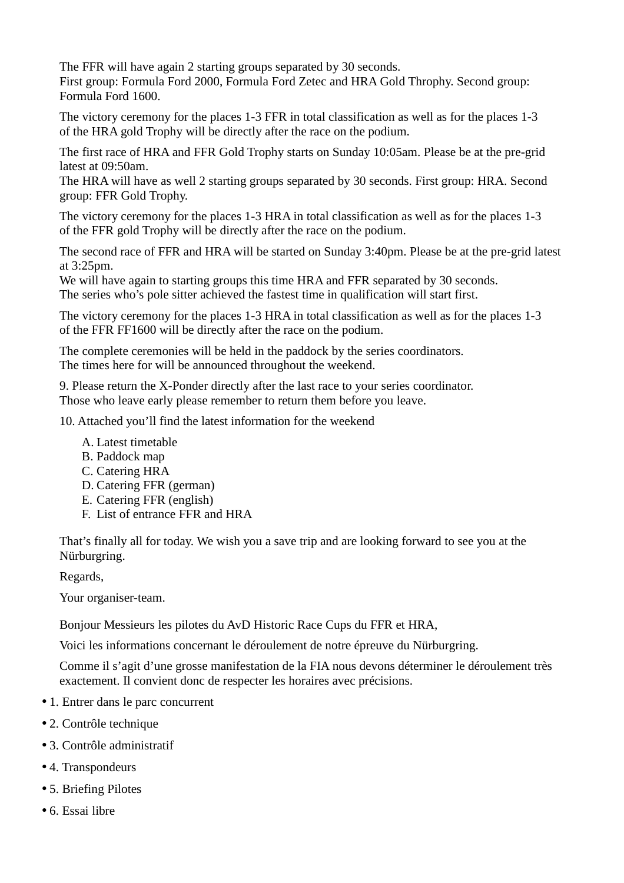The FFR will have again 2 starting groups separated by 30 seconds. First group: Formula Ford 2000, Formula Ford Zetec and HRA Gold Throphy. Second group: Formula Ford 1600.

The victory ceremony for the places 1-3 FFR in total classification as well as for the places 1-3 of the HRA gold Trophy will be directly after the race on the podium.

The first race of HRA and FFR Gold Trophy starts on Sunday 10:05am. Please be at the pre-grid latest at 09:50am.

The HRA will have as well 2 starting groups separated by 30 seconds. First group: HRA. Second group: FFR Gold Trophy.

The victory ceremony for the places 1-3 HRA in total classification as well as for the places 1-3 of the FFR gold Trophy will be directly after the race on the podium.

The second race of FFR and HRA will be started on Sunday 3:40pm. Please be at the pre-grid latest at 3:25pm.

We will have again to starting groups this time HRA and FFR separated by 30 seconds. The series who's pole sitter achieved the fastest time in qualification will start first.

The victory ceremony for the places 1-3 HRA in total classification as well as for the places 1-3 of the FFR FF1600 will be directly after the race on the podium.

The complete ceremonies will be held in the paddock by the series coordinators. The times here for will be announced throughout the weekend.

9. Please return the X-Ponder directly after the last race to your series coordinator. Those who leave early please remember to return them before you leave.

10. Attached you'll find the latest information for the weekend

- A. Latest timetable
- B. Paddock map
- C. Catering HRA
- D. Catering FFR (german)
- E. Catering FFR (english)
- F. List of entrance FFR and HRA

That's finally all for today. We wish you a save trip and are looking forward to see you at the Nürburgring.

Regards,

Your organiser-team.

Bonjour Messieurs les pilotes du AvD Historic Race Cups du FFR et HRA,

Voici les informations concernant le déroulement de notre épreuve du Nürburgring.

Comme il s'agit d'une grosse manifestation de la FIA nous devons déterminer le déroulement très exactement. Il convient donc de respecter les horaires avec précisions.

- 1. Entrer dans le parc concurrent
- 2. Contrôle technique
- 3. Contrôle administratif
- 4. Transpondeurs
- 5. Briefing Pilotes
- 6. Essai libre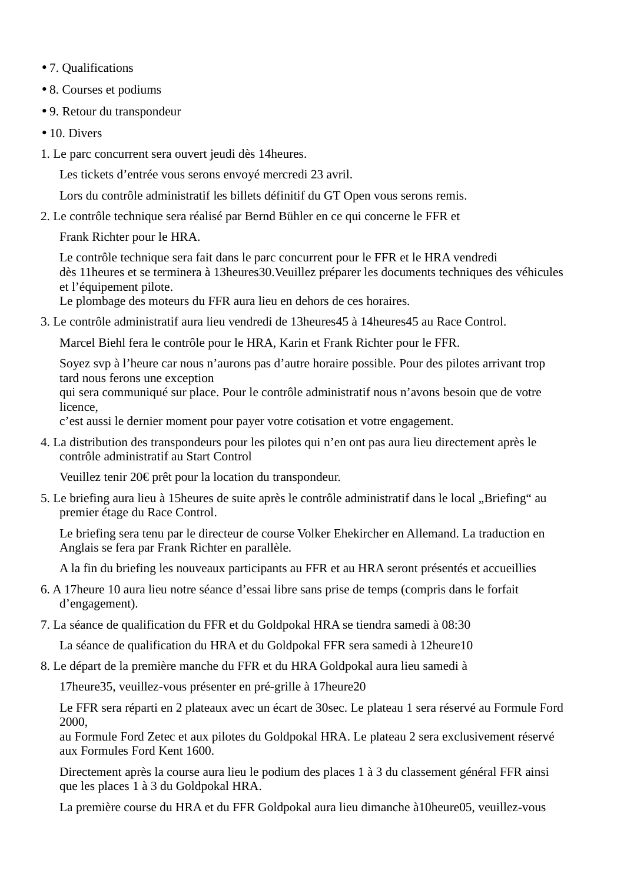- 7. Qualifications
- 8. Courses et podiums
- 9. Retour du transpondeur
- 10. Divers
- 1. Le parc concurrent sera ouvert jeudi dès 14heures.

Les tickets d'entrée vous serons envoyé mercredi 23 avril.

Lors du contrôle administratif les billets définitif du GT Open vous serons remis.

2. Le contrôle technique sera réalisé par Bernd Bühler en ce qui concerne le FFR et

Frank Richter pour le HRA.

Le contrôle technique sera fait dans le parc concurrent pour le FFR et le HRA vendredi dès 11heures et se terminera à 13heures30.Veuillez préparer les documents techniques des véhicules et l'équipement pilote.

Le plombage des moteurs du FFR aura lieu en dehors de ces horaires.

3. Le contrôle administratif aura lieu vendredi de 13heures45 à 14heures45 au Race Control.

Marcel Biehl fera le contrôle pour le HRA, Karin et Frank Richter pour le FFR.

Soyez svp à l'heure car nous n'aurons pas d'autre horaire possible. Pour des pilotes arrivant trop tard nous ferons une exception

qui sera communiqué sur place. Pour le contrôle administratif nous n'avons besoin que de votre licence,

c'est aussi le dernier moment pour payer votre cotisation et votre engagement.

4. La distribution des transpondeurs pour les pilotes qui n'en ont pas aura lieu directement après le contrôle administratif au Start Control

Veuillez tenir 20€ prêt pour la location du transpondeur.

5. Le briefing aura lieu à 15 heures de suite après le contrôle administratif dans le local "Briefing" au premier étage du Race Control.

Le briefing sera tenu par le directeur de course Volker Ehekircher en Allemand. La traduction en Anglais se fera par Frank Richter en parallèle.

A la fin du briefing les nouveaux participants au FFR et au HRA seront présentés et accueillies

- 6. A 17heure 10 aura lieu notre séance d'essai libre sans prise de temps (compris dans le forfait d'engagement).
- 7. La séance de qualification du FFR et du Goldpokal HRA se tiendra samedi à 08:30

La séance de qualification du HRA et du Goldpokal FFR sera samedi à 12heure10

8. Le départ de la première manche du FFR et du HRA Goldpokal aura lieu samedi à

17heure35, veuillez-vous présenter en pré-grille à 17heure20

Le FFR sera réparti en 2 plateaux avec un écart de 30sec. Le plateau 1 sera réservé au Formule Ford 2000,

au Formule Ford Zetec et aux pilotes du Goldpokal HRA. Le plateau 2 sera exclusivement réservé aux Formules Ford Kent 1600.

Directement après la course aura lieu le podium des places 1 à 3 du classement général FFR ainsi que les places 1 à 3 du Goldpokal HRA.

La première course du HRA et du FFR Goldpokal aura lieu dimanche à10heure05, veuillez-vous